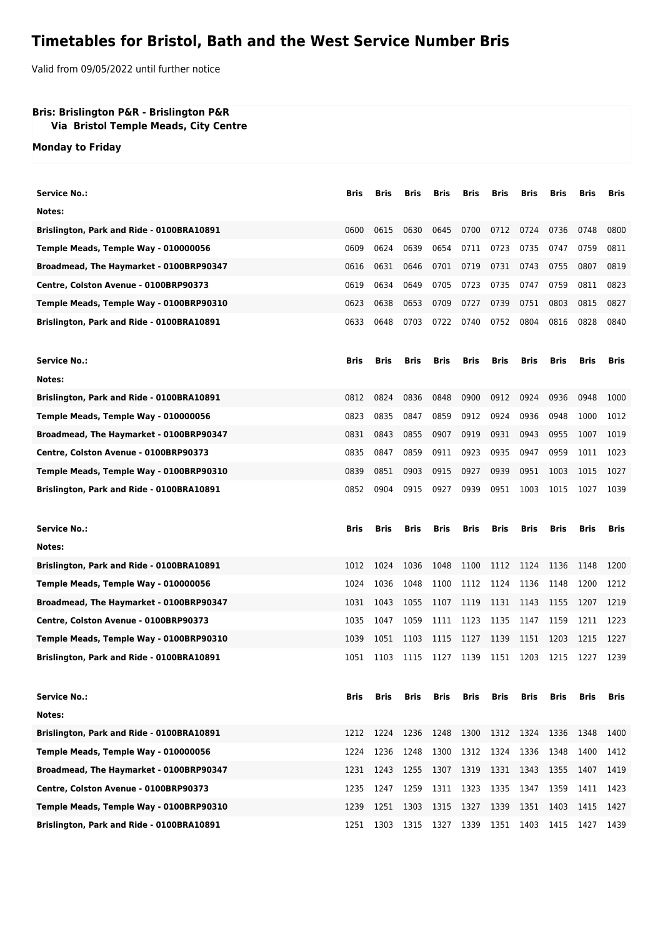## **Timetables for Bristol, Bath and the West Service Number Bris**

Valid from 09/05/2022 until further notice

## **Bris: Brislington P&R - Brislington P&R**

 **Via Bristol Temple Meads, City Centre**

**Monday to Friday**

| <b>Service No.:</b>                       | Bris        | Bris | Bris        | Bris        | Bris        | Bris        | Bris        | Bris | Bris        | Bris        |
|-------------------------------------------|-------------|------|-------------|-------------|-------------|-------------|-------------|------|-------------|-------------|
| Notes:                                    |             |      |             |             |             |             |             |      |             |             |
| Brislington, Park and Ride - 0100BRA10891 | 0600        | 0615 | 0630        | 0645        | 0700        | 0712        | 0724        | 0736 | 0748        | 0800        |
| Temple Meads, Temple Way - 010000056      | 0609        | 0624 | 0639        | 0654        | 0711        | 0723        | 0735        | 0747 | 0759        | 0811        |
| Broadmead, The Haymarket - 0100BRP90347   | 0616        | 0631 | 0646        | 0701        | 0719        | 0731        | 0743        | 0755 | 0807        | 0819        |
| Centre, Colston Avenue - 0100BRP90373     | 0619        | 0634 | 0649        | 0705        | 0723        | 0735        | 0747        | 0759 | 0811        | 0823        |
| Temple Meads, Temple Way - 0100BRP90310   | 0623        | 0638 | 0653        | 0709        | 0727        | 0739        | 0751        | 0803 | 0815        | 0827        |
| Brislington, Park and Ride - 0100BRA10891 | 0633        | 0648 | 0703        | 0722        | 0740        | 0752        | 0804        | 0816 | 0828        | 0840        |
| <b>Service No.:</b>                       | <b>Bris</b> | Bris | Bris        | <b>Bris</b> | <b>Bris</b> | <b>Bris</b> | <b>Bris</b> | Bris | <b>Bris</b> | Bris        |
| Notes:                                    |             |      |             |             |             |             |             |      |             |             |
| Brislington, Park and Ride - 0100BRA10891 | 0812        | 0824 | 0836        | 0848        | 0900        | 0912        | 0924        | 0936 | 0948        | 1000        |
| Temple Meads, Temple Way - 010000056      | 0823        | 0835 | 0847        | 0859        | 0912        | 0924        | 0936        | 0948 | 1000        | 1012        |
| Broadmead, The Haymarket - 0100BRP90347   | 0831        | 0843 | 0855        | 0907        | 0919        | 0931        | 0943        | 0955 | 1007        | 1019        |
| Centre, Colston Avenue - 0100BRP90373     | 0835        | 0847 | 0859        | 0911        | 0923        | 0935        | 0947        | 0959 | 1011        | 1023        |
| Temple Meads, Temple Way - 0100BRP90310   | 0839        | 0851 | 0903        | 0915        | 0927        | 0939        | 0951        | 1003 | 1015        | 1027        |
| Brislington, Park and Ride - 0100BRA10891 | 0852        | 0904 | 0915        | 0927        | 0939        | 0951        | 1003        | 1015 | 1027        | 1039        |
|                                           |             |      |             |             |             |             |             |      |             |             |
| <b>Service No.:</b>                       | Bris        | Bris | <b>Bris</b> | <b>Bris</b> | Bris        | Bris        | Bris        | Bris | Bris        | <b>Bris</b> |
| Notes:                                    |             |      |             |             |             |             |             |      |             |             |
| Brislington, Park and Ride - 0100BRA10891 | 1012        | 1024 | 1036        | 1048        | 1100        | 1112        | 1124        | 1136 | 1148        | 1200        |
| Temple Meads, Temple Way - 010000056      | 1024        | 1036 | 1048        | 1100        | 1112        | 1124        | 1136        | 1148 | 1200        | 1212        |
| Broadmead, The Haymarket - 0100BRP90347   | 1031        | 1043 | 1055        | 1107        | 1119        | 1131        | 1143        | 1155 | 1207        | 1219        |
| Centre, Colston Avenue - 0100BRP90373     | 1035        | 1047 | 1059        | 1111        | 1123        | 1135        | 1147        | 1159 | 1211        | 1223        |
| Temple Meads, Temple Way - 0100BRP90310   | 1039        | 1051 | 1103        | 1115        | 1127        | 1139        | 1151        | 1203 | 1215        | 1227        |
| Brislington, Park and Ride - 0100BRA10891 | 1051        | 1103 | 1115        | 1127        | 1139        | 1151        | 1203        | 1215 | 1227        | 1239        |
| <b>Service No.:</b>                       | Bris        | Bris | Bris        | Bris        | Bris        | Bris        | Bris        | Bris | Bris        | Bris        |
| Notes:                                    |             |      |             |             |             |             |             |      |             |             |
| Brislington, Park and Ride - 0100BRA10891 | 1212        | 1224 | 1236        | 1248        | 1300        | 1312        | 1324        | 1336 | 1348        | 1400        |
| Temple Meads, Temple Way - 010000056      | 1224        | 1236 | 1248        | 1300        | 1312        | 1324        | 1336        | 1348 | 1400        | 1412        |
| Broadmead, The Haymarket - 0100BRP90347   | 1231        | 1243 | 1255        | 1307        | 1319        | 1331        | 1343        | 1355 | 1407        | 1419        |
| Centre, Colston Avenue - 0100BRP90373     | 1235        | 1247 | 1259        | 1311        | 1323        | 1335        | 1347        | 1359 | 1411        | 1423        |
| Temple Meads, Temple Way - 0100BRP90310   | 1239        | 1251 | 1303        | 1315        | 1327        | 1339        | 1351        | 1403 | 1415        | 1427        |